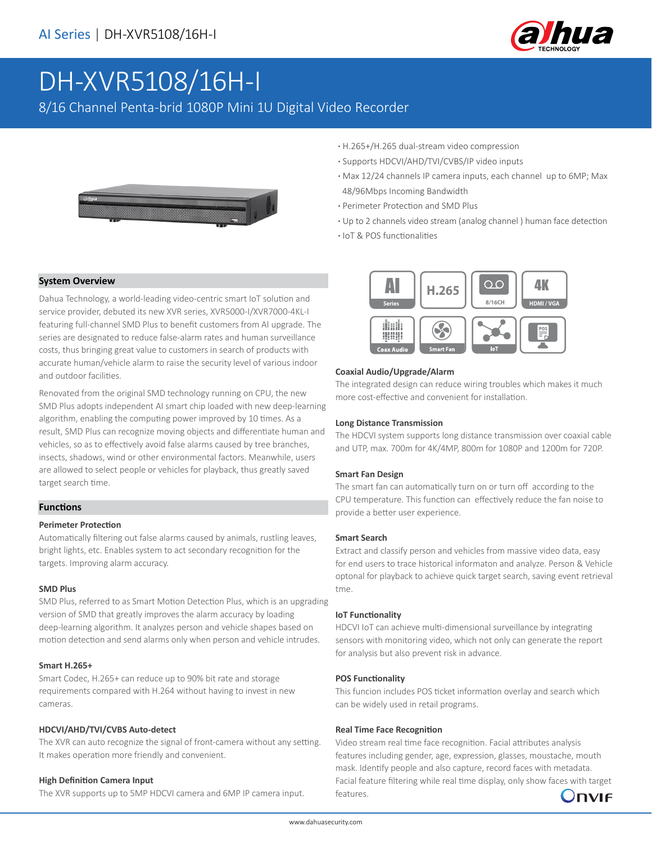

# DH-XVR5108/16H-I

8/16 Channel Penta-brid 1080P Mini 1U Digital Video Recorder



- **·** H.265+/H.265 dual-stream video compression
- **·** Supports HDCVI/AHD/TVI/CVBS/IP video inputs
- **·** Max 12/24 channels IP camera inputs, each channel up to 6MP; Max 48/96Mbps Incoming Bandwidth
- **·** Perimeter Protection and SMD Plus
- **·** Up to 2 channels video stream (analog channel ) human face detection
- **·** IoT & POS functionalities

# **System Overview**

Dahua Technology, a world-leading video-centric smart IoT solution and service provider, debuted its new XVR series, XVR5000-I/XVR7000-4KL-I featuring full-channel SMD Plus to benefit customers from AI upgrade. The series are designated to reduce false-alarm rates and human surveillance costs, thus bringing great value to customers in search of products with accurate human/vehicle alarm to raise the security level of various indoor and outdoor facilities.

Renovated from the original SMD technology running on CPU, the new SMD Plus adopts independent AI smart chip loaded with new deep-learning algorithm, enabling the computing power improved by 10 times. As a result, SMD Plus can recognize moving objects and differentiate human and vehicles, so as to effectively avoid false alarms caused by tree branches, insects, shadows, wind or other environmental factors. Meanwhile, users are allowed to select people or vehicles for playback, thus greatly saved target search time.

# **Functions**

# **Perimeter Protection**

Automatically filtering out false alarms caused by animals, rustling leaves, bright lights, etc. Enables system to act secondary recognition for the targets. Improving alarm accuracy.

# **SMD Plus**

SMD Plus, referred to as Smart Motion Detection Plus, which is an upgrading version of SMD that greatly improves the alarm accuracy by loading deep-learning algorithm. It analyzes person and vehicle shapes based on motion detection and send alarms only when person and vehicle intrudes.

#### **Smart H.265+**

Smart Codec, H.265+ can reduce up to 90% bit rate and storage requirements compared with H.264 without having to invest in new cameras.

# **HDCVI/AHD/TVI/CVBS Auto-detect**

The XVR can auto recognize the signal of front-camera without any setting. It makes operation more friendly and convenient.

# **High Definition Camera Input**

The XVR supports up to 5MP HDCVI camera and 6MP IP camera input.



# **Coaxial Audio/Upgrade/Alarm**

The integrated design can reduce wiring troubles which makes it much more cost-effective and convenient for installation.

#### **Long Distance Transmission**

The HDCVI system supports long distance transmission over coaxial cable and UTP, max. 700m for 4K/4MP, 800m for 1080P and 1200m for 720P.

# **Smart Fan Design**

The smart fan can automatically turn on or turn off according to the CPU temperature. This function can effectively reduce the fan noise to provide a better user experience.

### **Smart Search**

Extract and classify person and vehicles from massive video data, easy for end users to trace historical informaton and analyze. Person & Vehicle optonal for playback to achieve quick target search, saving event retrieval tme.

#### **IoT Functionality**

HDCVI IoT can achieve multi-dimensional surveillance by integrating sensors with monitoring video, which not only can generate the report for analysis but also prevent risk in advance.

#### **POS Functionality**

This funcion includes POS ticket information overlay and search which can be widely used in retail programs.

#### **Real Time Face Recognition**

Video stream real time face recognition. Facial attributes analysis features including gender, age, expression, glasses, moustache, mouth mask. Identify people and also capture, record faces with metadata. Facial feature filtering while real time display, only show faces with target features.

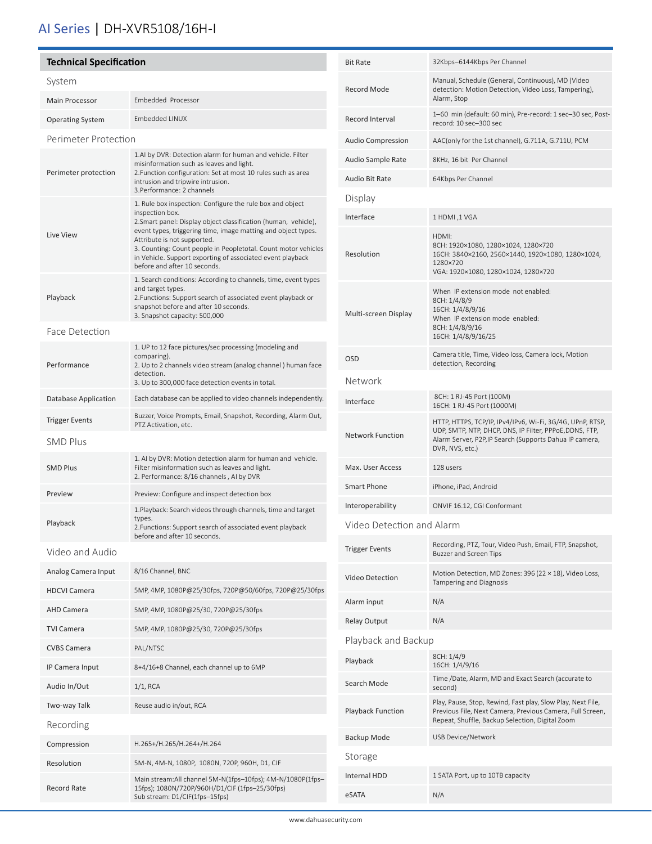# AI Series | DH-XVR5108/16H-I

| <b>Technical Specification</b>        |                                                                                                                                                                                                                                                                                                                                                                                                                                               | <b>Bit Rate</b>           | 32Kbps-6144Kbps Per Channel                                                                                                                          |
|---------------------------------------|-----------------------------------------------------------------------------------------------------------------------------------------------------------------------------------------------------------------------------------------------------------------------------------------------------------------------------------------------------------------------------------------------------------------------------------------------|---------------------------|------------------------------------------------------------------------------------------------------------------------------------------------------|
| System                                |                                                                                                                                                                                                                                                                                                                                                                                                                                               | Record Mode               | Manual, Schedule (General, Continuous), MD (Video<br>detection: Motion Detection, Video Loss, Tampering),                                            |
| Main Processor                        | Embedded Processor                                                                                                                                                                                                                                                                                                                                                                                                                            |                           | Alarm, Stop                                                                                                                                          |
| <b>Operating System</b>               | <b>Embedded LINUX</b>                                                                                                                                                                                                                                                                                                                                                                                                                         | Record Interval           | 1-60 min (default: 60 min), Pre-record: 1 sec-30 sec, Post-<br>record: 10 sec-300 sec                                                                |
| Perimeter Protection                  |                                                                                                                                                                                                                                                                                                                                                                                                                                               | <b>Audio Compression</b>  | AAC(only for the 1st channel), G.711A, G.711U, PCM                                                                                                   |
|                                       | 1.AI by DVR: Detection alarm for human and vehicle. Filter<br>misinformation such as leaves and light.<br>2. Function configuration: Set at most 10 rules such as area<br>intrusion and tripwire intrusion.                                                                                                                                                                                                                                   | Audio Sample Rate         | 8KHz, 16 bit Per Channel                                                                                                                             |
| Perimeter protection                  |                                                                                                                                                                                                                                                                                                                                                                                                                                               | Audio Bit Rate            | 64Kbps Per Channel                                                                                                                                   |
|                                       | 3. Performance: 2 channels<br>1. Rule box inspection: Configure the rule box and object<br>inspection box.<br>2. Smart panel: Display object classification (human, vehicle),<br>event types, triggering time, image matting and object types.<br>Attribute is not supported.<br>3. Counting: Count people in Peopletotal. Count motor vehicles<br>in Vehicle. Support exporting of associated event playback<br>before and after 10 seconds. | Display                   |                                                                                                                                                      |
|                                       |                                                                                                                                                                                                                                                                                                                                                                                                                                               | Interface                 | 1 HDMI, 1 VGA                                                                                                                                        |
| Live View                             |                                                                                                                                                                                                                                                                                                                                                                                                                                               | Resolution                | HDMI:<br>8CH: 1920×1080, 1280×1024, 1280×720<br>16CH: 3840×2160, 2560×1440, 1920×1080, 1280×1024,<br>1280×720<br>VGA: 1920×1080, 1280×1024, 1280×720 |
| Playback                              | 1. Search conditions: According to channels, time, event types<br>and target types.<br>2. Functions: Support search of associated event playback or<br>snapshot before and after 10 seconds.<br>3. Snapshot capacity: 500,000                                                                                                                                                                                                                 | Multi-screen Display      | When IP extension mode not enabled:<br>8CH: 1/4/8/9<br>16CH: 1/4/8/9/16<br>When IP extension mode enabled:                                           |
| Face Detection                        |                                                                                                                                                                                                                                                                                                                                                                                                                                               |                           | 8CH: 1/4/8/9/16<br>16CH: 1/4/8/9/16/25                                                                                                               |
| Performance                           | 1. UP to 12 face pictures/sec processing (modeling and<br>comparing).<br>2. Up to 2 channels video stream (analog channel) human face                                                                                                                                                                                                                                                                                                         | <b>OSD</b>                | Camera title, Time, Video loss, Camera lock, Motion<br>detection, Recording                                                                          |
|                                       | detection.<br>3. Up to 300,000 face detection events in total.                                                                                                                                                                                                                                                                                                                                                                                | Network                   |                                                                                                                                                      |
| Database Application                  | Each database can be applied to video channels independently.                                                                                                                                                                                                                                                                                                                                                                                 | Interface                 | 8CH: 1 RJ-45 Port (100M)<br>16CH: 1 RJ-45 Port (1000M)                                                                                               |
| <b>Trigger Events</b>                 | Buzzer, Voice Prompts, Email, Snapshot, Recording, Alarm Out,<br>PTZ Activation, etc.                                                                                                                                                                                                                                                                                                                                                         |                           | HTTP, HTTPS, TCP/IP, IPv4/IPv6, Wi-Fi, 3G/4G, UPnP, RTSP,<br>UDP, SMTP, NTP, DHCP, DNS, IP Filter, PPPoE, DDNS, FTP,                                 |
| <b>SMD Plus</b>                       |                                                                                                                                                                                                                                                                                                                                                                                                                                               | <b>Network Function</b>   | Alarm Server, P2P, IP Search (Supports Dahua IP camera,<br>DVR, NVS, etc.)                                                                           |
| <b>SMD Plus</b>                       | 1. AI by DVR: Motion detection alarm for human and vehicle.<br>Filter misinformation such as leaves and light.<br>2. Performance: 8/16 channels, AI by DVR                                                                                                                                                                                                                                                                                    | Max. User Access          | 128 users                                                                                                                                            |
| Preview                               | Preview: Configure and inspect detection box                                                                                                                                                                                                                                                                                                                                                                                                  | Smart Phone               | iPhone, iPad, Android                                                                                                                                |
|                                       | 1. Playback: Search videos through channels, time and target<br>types.                                                                                                                                                                                                                                                                                                                                                                        | Interoperability          | ONVIF 16.12, CGI Conformant                                                                                                                          |
| Playback                              | 2. Functions: Support search of associated event playback<br>before and after 10 seconds.                                                                                                                                                                                                                                                                                                                                                     | Video Detection and Alarm |                                                                                                                                                      |
| Video and Audio                       |                                                                                                                                                                                                                                                                                                                                                                                                                                               | <b>Trigger Events</b>     | Recording, PTZ, Tour, Video Push, Email, FTP, Snapshot,<br>Buzzer and Screen Tips                                                                    |
| Analog Camera Input                   | 8/16 Channel, BNC                                                                                                                                                                                                                                                                                                                                                                                                                             | Video Detection           | Motion Detection, MD Zones: 396 (22 × 18), Video Loss,<br>Tampering and Diagnosis                                                                    |
| <b>HDCVI Camera</b>                   | 5MP, 4MP, 1080P@25/30fps, 720P@50/60fps, 720P@25/30fps                                                                                                                                                                                                                                                                                                                                                                                        | Alarm input               | N/A                                                                                                                                                  |
| <b>AHD Camera</b>                     | 5MP, 4MP, 1080P@25/30, 720P@25/30fps                                                                                                                                                                                                                                                                                                                                                                                                          | <b>Relay Output</b>       | N/A                                                                                                                                                  |
| <b>TVI Camera</b>                     | 5MP, 4MP, 1080P@25/30, 720P@25/30fps                                                                                                                                                                                                                                                                                                                                                                                                          | Playback and Backup       |                                                                                                                                                      |
| <b>CVBS Camera</b><br>IP Camera Input | PAL/NTSC<br>8+4/16+8 Channel, each channel up to 6MP                                                                                                                                                                                                                                                                                                                                                                                          | Playback                  | 8CH: 1/4/9<br>16CH: 1/4/9/16                                                                                                                         |
| Audio In/Out                          | $1/1$ , RCA                                                                                                                                                                                                                                                                                                                                                                                                                                   | Search Mode               | Time /Date, Alarm, MD and Exact Search (accurate to<br>second)                                                                                       |
| Two-way Talk                          | Reuse audio in/out, RCA                                                                                                                                                                                                                                                                                                                                                                                                                       |                           | Play, Pause, Stop, Rewind, Fast play, Slow Play, Next File,                                                                                          |
| Recording                             |                                                                                                                                                                                                                                                                                                                                                                                                                                               | Playback Function         | Previous File, Next Camera, Previous Camera, Full Screen,<br>Repeat, Shuffle, Backup Selection, Digital Zoom                                         |
| Compression                           | H.265+/H.265/H.264+/H.264                                                                                                                                                                                                                                                                                                                                                                                                                     | Backup Mode               | USB Device/Network                                                                                                                                   |
| Resolution                            | 5M-N, 4M-N, 1080P, 1080N, 720P, 960H, D1, CIF                                                                                                                                                                                                                                                                                                                                                                                                 | Storage                   |                                                                                                                                                      |
| Record Rate                           | Main stream:All channel 5M-N(1fps-10fps); 4M-N/1080P(1fps-<br>15fps); 1080N/720P/960H/D1/CIF (1fps-25/30fps)<br>Sub stream: D1/CIF(1fps-15fps)                                                                                                                                                                                                                                                                                                | Internal HDD<br>eSATA     | 1 SATA Port, up to 10TB capacity<br>N/A                                                                                                              |